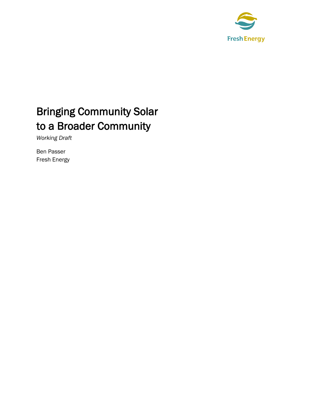

# Bringing Community Solar to a Broader Community

*Working Draft*

Ben Passer Fresh Energy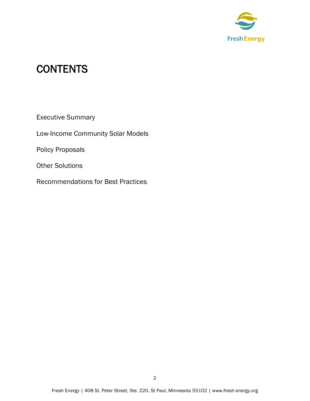

## **CONTENTS**

Executive Summary

Low-Income Community Solar Models

Policy Proposals

Other Solutions

Recommendations for Best Practices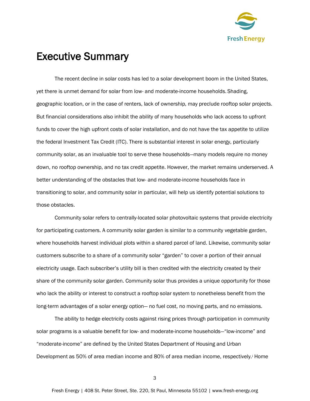

## Executive Summary

The recent decline in solar costs has led to a solar development boom in the United States, yet there is unmet demand for solar from low- and moderate-income households. Shading, geographic location, or in the case of renters, lack of ownership, may preclude rooftop solar projects. But financial considerations also inhibit the ability of many households who lack access to upfront funds to cover the high upfront costs of solar installation, and do not have the tax appetite to utilize the federal Investment Tax Credit (ITC). There is substantial interest in solar energy, particularly community solar, as an invaluable tool to serve these households—many models require no money down, no rooftop ownership, and no tax credit appetite. However, the market remains underserved. A better understanding of the obstacles that low- and moderate-income households face in transitioning to solar, and community solar in particular, will help us identify potential solutions to those obstacles.

Community solar refers to centrally-located solar photovoltaic systems that provide electricity for participating customers. A community solar garden is similar to a community vegetable garden, where households harvest individual plots within a shared parcel of land. Likewise, community solar customers subscribe to a share of a community solar "garden" to cover a portion of their annual electricity usage. Each subscriber's utility bill is then credited with the electricity created by their share of the community solar garden. Community solar thus provides a unique opportunity for those who lack the ability or interest to construct a rooftop solar system to nonetheless benefit from the long-term advantages of a solar energy option— no fuel cost, no moving parts, and no emissions.

The ability to hedge electricity costs against rising prices through participation in community solar programs is a valuable benefit for low- and moderate-income households—"low-income" and "moderate-income" are defined by the United States Department of Housing and Urban Development as 50% of area median income and 80% of area median income, respectively.<sup>i</sup> Home

3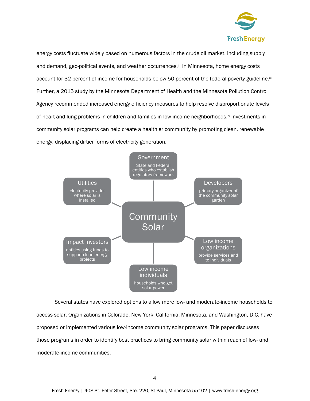

energy costs fluctuate widely based on numerous factors in the crude oil market, including supply and demand, geo-political events, and weather occurrences.<sup>ii</sup> In Minnesota, home energy costs account for 32 percent of income for households below 50 percent of the federal poverty guideline.iii Further, a 2015 study by the Minnesota Department of Health and the Minnesota Pollution Control Agency recommended increased energy efficiency measures to help resolve disproportionate levels of heart and lung problems in children and families in low-income neighborhoods.<sup>iv</sup> Investments in community solar programs can help create a healthier community by promoting clean, renewable energy, displacing dirtier forms of electricity generation.



Several states have explored options to allow more low- and moderate-income households to access solar. Organizations in Colorado, New York, California, Minnesota, and Washington, D.C. have proposed or implemented various low-income community solar programs. This paper discusses those programs in order to identify best practices to bring community solar within reach of low- and moderate-income communities.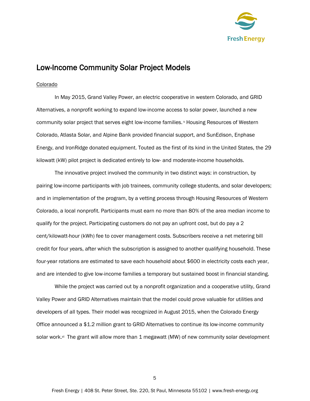

## Low-Income Community Solar Project Models

#### Colorado

In May 2015, Grand Valley Power, an electric cooperative in western Colorado, and GRID Alternatives, a nonprofit working to expand low-income access to solar power, launched a new community solar project that serves eight low-income families. <sup>v</sup> Housing Resources of Western Colorado, Atlasta Solar, and Alpine Bank provided financial support, and SunEdison, Enphase Energy, and IronRidge donated equipment. Touted as the first of its kind in the United States, the 29 kilowatt (kW) pilot project is dedicated entirely to low- and moderate-income households.

The innovative project involved the community in two distinct ways: in construction, by pairing low-income participants with job trainees, community college students, and solar developers; and in implementation of the program, by a vetting process through Housing Resources of Western Colorado, a local nonprofit. Participants must earn no more than 80% of the area median income to qualify for the project. Participating customers do not pay an upfront cost, but do pay a 2 cent/kilowatt-hour (kWh) fee to cover management costs. Subscribers receive a net metering bill credit for four years, after which the subscription is assigned to another qualifying household. These four-year rotations are estimated to save each household about \$600 in electricity costs each year, and are intended to give low-income families a temporary but sustained boost in financial standing.

While the project was carried out by a nonprofit organization and a cooperative utility, Grand Valley Power and GRID Alternatives maintain that the model could prove valuable for utilities and developers of all types. Their model was recognized in August 2015, when the Colorado Energy Office announced a \$1.2 million grant to GRID Alternatives to continue its low-income community solar work.vi The grant will allow more than 1 megawatt (MW) of new community solar development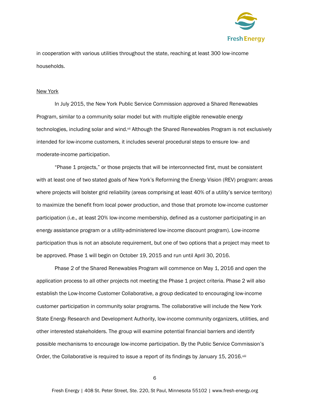

in cooperation with various utilities throughout the state, reaching at least 300 low-income households.

#### New York

In July 2015, the New York Public Service Commission approved a Shared Renewables Program, similar to a community solar model but with multiple eligible renewable energy technologies, including solar and wind.vii Although the Shared Renewables Program is not exclusively intended for low-income customers, it includes several procedural steps to ensure low- and moderate-income participation.

"Phase 1 projects," or those projects that will be interconnected first, must be consistent with at least one of two stated goals of New York's Reforming the Energy Vision (REV) program: areas where projects will bolster grid reliability (areas comprising at least 40% of a utility's service territory) to maximize the benefit from local power production, and those that promote low-income customer participation (i.e., at least 20% low-income membership, defined as a customer participating in an energy assistance program or a utility-administered low-income discount program). Low-income participation thus is not an absolute requirement, but one of two options that a project may meet to be approved. Phase 1 will begin on October 19, 2015 and run until April 30, 2016.

Phase 2 of the Shared Renewables Program will commence on May 1, 2016 and open the application process to all other projects not meeting the Phase 1 project criteria. Phase 2 will also establish the Low-Income Customer Collaborative, a group dedicated to encouraging low-income customer participation in community solar programs. The collaborative will include the New York State Energy Research and Development Authority, low-income community organizers, utilities, and other interested stakeholders. The group will examine potential financial barriers and identify possible mechanisms to encourage low-income participation. By the Public Service Commission's Order, the Collaborative is required to issue a report of its findings by January 15, 2016.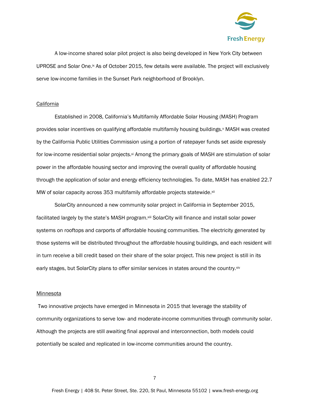

A low-income shared solar pilot project is also being developed in New York City between UPROSE and Solar One.<sup>ix</sup> As of October 2015, few details were available. The project will exclusively serve low-income families in the Sunset Park neighborhood of Brooklyn.

#### California

Established in 2008, California's Multifamily Affordable Solar Housing (MASH) Program provides solar incentives on qualifying affordable multifamily housing buildings. MASH was created by the California Public Utilities Commission using a portion of ratepayer funds set aside expressly for low-income residential solar projects.xi Among the primary goals of MASH are stimulation of solar power in the affordable housing sector and improving the overall quality of affordable housing through the application of solar and energy efficiency technologies. To date, MASH has enabled 22.7 MW of solar capacity across 353 multifamily affordable projects statewide.<sup>xii</sup>

SolarCity announced a new community solar project in California in September 2015, facilitated largely by the state's MASH program.xiii SolarCity will finance and install solar power systems on rooftops and carports of affordable housing communities. The electricity generated by those systems will be distributed throughout the affordable housing buildings, and each resident will in turn receive a bill credit based on their share of the solar project. This new project is still in its early stages, but SolarCity plans to offer similar services in states around the country.xiv

#### **Minnesota**

Two innovative projects have emerged in Minnesota in 2015 that leverage the stability of community organizations to serve low- and moderate-income communities through community solar. Although the projects are still awaiting final approval and interconnection, both models could potentially be scaled and replicated in low-income communities around the country.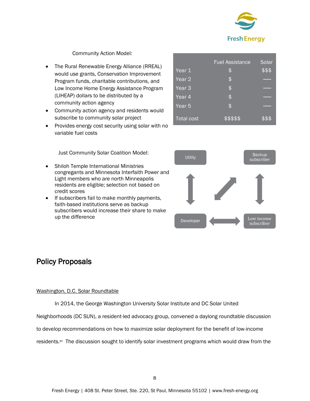

#### Community Action Model:

- The Rural Renewable Energy Alliance (RREAL) would use grants, Conservation Improvement Program funds, charitable contributions, and Low Income Home Energy Assistance Program (LIHEAP) dollars to be distributed by a community action agency
- Community action agency and residents would subscribe to community solar project
- Provides energy cost security using solar with no variable fuel costs

Just Community Solar Coalition Model:

- Shiloh Temple International Ministries congregants and Minnesota Interfaith Power and Light members who are north Minneapolis residents are eligible; selection not based on credit scores
- If subscribers fail to make monthly payments, faith-based institutions serve as backup subscribers would increase their share to make up the difference

## Policy Proposals

#### Washington, D.C. Solar Roundtable

In 2014, the George Washington University Solar Institute and DC Solar United Neighborhoods (DC SUN), a resident-led advocacy group, convened a daylong roundtable discussion to develop recommendations on how to maximize solar deployment for the benefit of low-income residents.<sup>xv</sup> The discussion sought to identify solar investment programs which would draw from the

|                   | <b>Fuel Assistance</b> | Solar  |
|-------------------|------------------------|--------|
| Year 1            | \$                     | \$\$\$ |
| Year $2$          | \$                     |        |
| Year <sub>3</sub> | \$                     |        |
| Year 4            | \$                     |        |
| Year <sub>5</sub> | \$                     |        |
| <b>Total cost</b> | \$\$\$\$\$             | \$\$\$ |

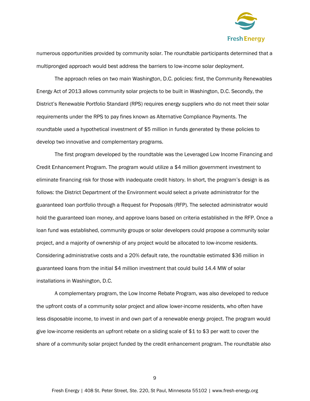

numerous opportunities provided by community solar. The roundtable participants determined that a multipronged approach would best address the barriers to low-income solar deployment.

The approach relies on two main Washington, D.C. policies: first, the Community Renewables Energy Act of 2013 allows community solar projects to be built in Washington, D.C. Secondly, the District's Renewable Portfolio Standard (RPS) requires energy suppliers who do not meet their solar requirements under the RPS to pay fines known as Alternative Compliance Payments. The roundtable used a hypothetical investment of \$5 million in funds generated by these policies to develop two innovative and complementary programs.

The first program developed by the roundtable was the Leveraged Low Income Financing and Credit Enhancement Program. The program would utilize a \$4 million government investment to eliminate financing risk for those with inadequate credit history. In short, the program's design is as follows: the District Department of the Environment would select a private administrator for the guaranteed loan portfolio through a Request for Proposals (RFP). The selected administrator would hold the guaranteed loan money, and approve loans based on criteria established in the RFP. Once a loan fund was established, community groups or solar developers could propose a community solar project, and a majority of ownership of any project would be allocated to low-income residents. Considering administrative costs and a 20% default rate, the roundtable estimated \$36 million in guaranteed loans from the initial \$4 million investment that could build 14.4 MW of solar installations in Washington, D.C.

A complementary program, the Low Income Rebate Program, was also developed to reduce the upfront costs of a community solar project and allow lower-income residents, who often have less disposable income, to invest in and own part of a renewable energy project. The program would give low-income residents an upfront rebate on a sliding scale of \$1 to \$3 per watt to cover the share of a community solar project funded by the credit enhancement program. The roundtable also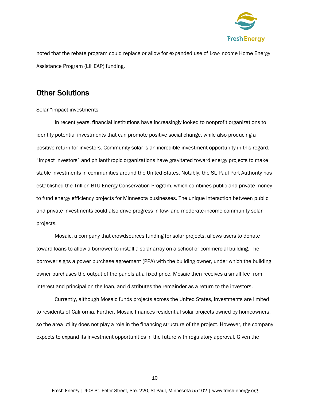

noted that the rebate program could replace or allow for expanded use of Low-Income Home Energy Assistance Program (LIHEAP) funding.

## Other Solutions

#### Solar "impact investments"

In recent years, financial institutions have increasingly looked to nonprofit organizations to identify potential investments that can promote positive social change, while also producing a positive return for investors. Community solar is an incredible investment opportunity in this regard. "Impact investors" and philanthropic organizations have gravitated toward energy projects to make stable investments in communities around the United States. Notably, the St. Paul Port Authority has established the Trillion BTU Energy Conservation Program, which combines public and private money to fund energy efficiency projects for Minnesota businesses. The unique interaction between public and private investments could also drive progress in low- and moderate-income community solar projects.

Mosaic, a company that crowdsources funding for solar projects, allows users to donate toward loans to allow a borrower to install a solar array on a school or commercial building. The borrower signs a power purchase agreement (PPA) with the building owner, under which the building owner purchases the output of the panels at a fixed price. Mosaic then receives a small fee from interest and principal on the loan, and distributes the remainder as a return to the investors.

Currently, although Mosaic funds projects across the United States, investments are limited to residents of California. Further, Mosaic finances residential solar projects owned by homeowners, so the area utility does not play a role in the financing structure of the project. However, the company expects to expand its investment opportunities in the future with regulatory approval. Given the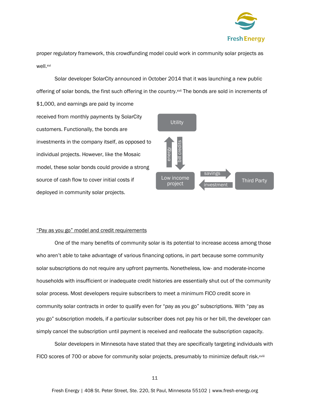

proper regulatory framework, this crowdfunding model could work in community solar projects as well.xvi

Solar developer SolarCity announced in October 2014 that it was launching a new public offering of solar bonds, the first such offering in the country.<sup>xvii</sup> The bonds are sold in increments of

\$1,000, and earnings are paid by income received from monthly payments by SolarCity customers. Functionally, the bonds are investments in the company itself, as opposed to individual projects. However, like the Mosaic model, these solar bonds could provide a strong source of cash flow to cover initial costs if deployed in community solar projects.



#### "Pay as you go" model and credit requirements

One of the many benefits of community solar is its potential to increase access among those who aren't able to take advantage of various financing options, in part because some community solar subscriptions do not require any upfront payments. Nonetheless, low- and moderate-income households with insufficient or inadequate credit histories are essentially shut out of the community solar process. Most developers require subscribers to meet a minimum FICO credit score in community solar contracts in order to qualify even for "pay as you go" subscriptions. With "pay as you go" subscription models, if a particular subscriber does not pay his or her bill, the developer can simply cancel the subscription until payment is received and reallocate the subscription capacity.

Solar developers in Minnesota have stated that they are specifically targeting individuals with FICO scores of 700 or above for community solar projects, presumably to minimize default risk.xviii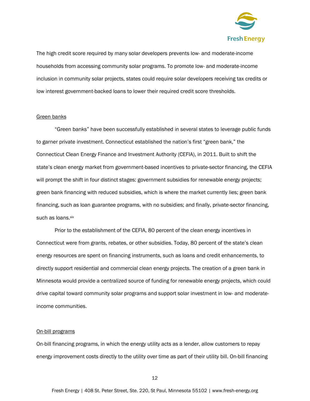

The high credit score required by many solar developers prevents low- and moderate-income households from accessing community solar programs. To promote low- and moderate-income inclusion in community solar projects, states could require solar developers receiving tax credits or low interest government-backed loans to lower their required credit score thresholds.

#### Green banks

"Green banks" have been successfully established in several states to leverage public funds to garner private investment. Connecticut established the nation's first "green bank," the Connecticut Clean Energy Finance and Investment Authority (CEFIA), in 2011. Built to shift the state's clean energy market from government-based incentives to private-sector financing, the CEFIA will prompt the shift in four distinct stages: government subsidies for renewable energy projects; green bank financing with reduced subsidies, which is where the market currently lies; green bank financing, such as loan guarantee programs, with no subsidies; and finally, private-sector financing, such as loans.xix

Prior to the establishment of the CEFIA, 80 percent of the clean energy incentives in Connecticut were from grants, rebates, or other subsidies. Today, 80 percent of the state's clean energy resources are spent on financing instruments, such as loans and credit enhancements, to directly support residential and commercial clean energy projects. The creation of a green bank in Minnesota would provide a centralized source of funding for renewable energy projects, which could drive capital toward community solar programs and support solar investment in low- and moderateincome communities.

#### On-bill programs

On-bill financing programs, in which the energy utility acts as a lender, allow customers to repay energy improvement costs directly to the utility over time as part of their utility bill. On-bill financing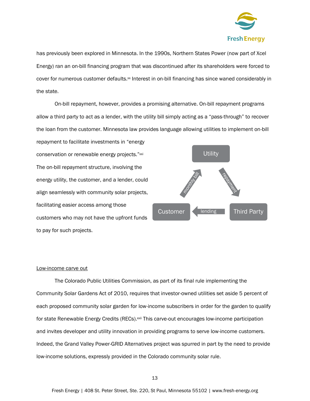

has previously been explored in Minnesota. In the 1990s, Northern States Power (now part of Xcel Energy) ran an on-bill financing program that was discontinued after its shareholders were forced to cover for numerous customer defaults.<sup>xx</sup> Interest in on-bill financing has since waned considerably in the state.

On-bill repayment, however, provides a promising alternative. On-bill repayment programs allow a third party to act as a lender, with the utility bill simply acting as a "pass-through" to recover the loan from the customer. Minnesota law provides language allowing utilities to implement on-bill

repayment to facilitate investments in "energy conservation or renewable energy projects."xxi The on-bill repayment structure, involving the energy utility, the customer, and a lender, could align seamlessly with community solar projects, facilitating easier access among those customers who may not have the upfront funds to pay for such projects.



#### Low-income carve out

The Colorado Public Utilities Commission, as part of its final rule implementing the Community Solar Gardens Act of 2010, requires that investor-owned utilities set aside 5 percent of each proposed community solar garden for low-income subscribers in order for the garden to qualify for state Renewable Energy Credits (RECs).<sup>xxii</sup> This carve-out encourages low-income participation and invites developer and utility innovation in providing programs to serve low-income customers. Indeed, the Grand Valley Power-GRID Alternatives project was spurred in part by the need to provide low-income solutions, expressly provided in the Colorado community solar rule.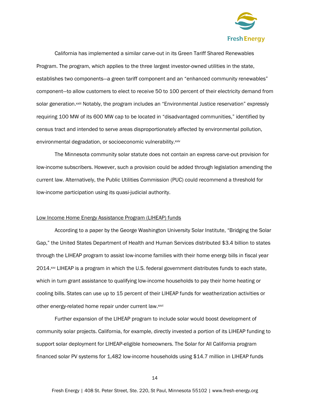

California has implemented a similar carve-out in its Green Tariff Shared Renewables Program. The program, which applies to the three largest investor-owned utilities in the state, establishes two components—a green tariff component and an "enhanced community renewables" component—to allow customers to elect to receive 50 to 100 percent of their electricity demand from solar generation.<sup>xxiii</sup> Notably, the program includes an "Environmental Justice reservation" expressly requiring 100 MW of its 600 MW cap to be located in "disadvantaged communities," identified by census tract and intended to serve areas disproportionately affected by environmental pollution, environmental degradation, or socioeconomic vulnerability.xxiv

The Minnesota community solar statute does not contain an express carve-out provision for low-income subscribers. However, such a provision could be added through legislation amending the current law. Alternatively, the Public Utilities Commission (PUC) could recommend a threshold for low-income participation using its quasi-judicial authority.

#### Low Income Home Energy Assistance Program (LIHEAP) funds

According to a paper by the George Washington University Solar Institute, "Bridging the Solar Gap," the United States Department of Health and Human Services distributed \$3.4 billion to states through the LIHEAP program to assist low-income families with their home energy bills in fiscal year 2014.xxv LIHEAP is a program in which the U.S. federal government distributes funds to each state, which in turn grant assistance to qualifying low-income households to pay their home heating or cooling bills. States can use up to 15 percent of their LIHEAP funds for weatherization activities or other energy-related home repair under current law.xxvi

Further expansion of the LIHEAP program to include solar would boost development of community solar projects. California, for example, directly invested a portion of its LIHEAP funding to support solar deployment for LIHEAP-eligible homeowners. The Solar for All California program financed solar PV systems for 1,482 low-income households using \$14.7 million in LIHEAP funds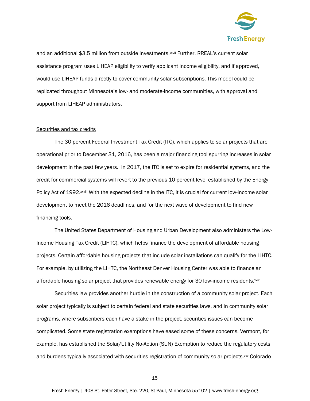

and an additional \$3.5 million from outside investments.<sup>xxvii</sup> Further, RREAL's current solar assistance program uses LIHEAP eligibility to verify applicant income eligibility, and if approved, would use LIHEAP funds directly to cover community solar subscriptions. This model could be replicated throughout Minnesota's low- and moderate-income communities, with approval and support from LIHEAP administrators.

#### Securities and tax credits

The 30 percent Federal Investment Tax Credit (ITC), which applies to solar projects that are operational prior to December 31, 2016, has been a major financing tool spurring increases in solar development in the past few years. In 2017, the ITC is set to expire for residential systems, and the credit for commercial systems will revert to the previous 10 percent level established by the Energy Policy Act of 1992.<sup>xxviii</sup> With the expected decline in the ITC, it is crucial for current low-income solar development to meet the 2016 deadlines, and for the next wave of development to find new financing tools.

The United States Department of Housing and Urban Development also administers the Low-Income Housing Tax Credit (LIHTC), which helps finance the development of affordable housing projects. Certain affordable housing projects that include solar installations can qualify for the LIHTC. For example, by utilizing the LIHTC, the Northeast Denver Housing Center was able to finance an affordable housing solar project that provides renewable energy for 30 low-income residents.xxix

Securities law provides another hurdle in the construction of a community solar project. Each solar project typically is subject to certain federal and state securities laws, and in community solar programs, where subscribers each have a stake in the project, securities issues can become complicated. Some state registration exemptions have eased some of these concerns. Vermont, for example, has established the Solar/Utility No-Action (SUN) Exemption to reduce the regulatory costs and burdens typically associated with securities registration of community solar projects. $xx$  Colorado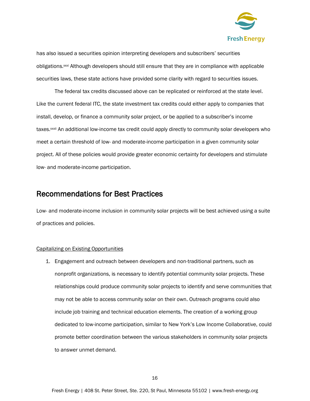

has also issued a securities opinion interpreting developers and subscribers' securities obligations.<sup>xxi</sup> Although developers should still ensure that they are in compliance with applicable securities laws, these state actions have provided some clarity with regard to securities issues.

The federal tax credits discussed above can be replicated or reinforced at the state level. Like the current federal ITC, the state investment tax credits could either apply to companies that install, develop, or finance a community solar project, or be applied to a subscriber's income taxes.xxxii An additional low-income tax credit could apply directly to community solar developers who meet a certain threshold of low- and moderate-income participation in a given community solar project. All of these policies would provide greater economic certainty for developers and stimulate low- and moderate-income participation.

### Recommendations for Best Practices

Low- and moderate-income inclusion in community solar projects will be best achieved using a suite of practices and policies.

#### Capitalizing on Existing Opportunities

1. Engagement and outreach between developers and non-traditional partners, such as nonprofit organizations, is necessary to identify potential community solar projects. These relationships could produce community solar projects to identify and serve communities that may not be able to access community solar on their own. Outreach programs could also include job training and technical education elements. The creation of a working group dedicated to low-income participation, similar to New York's Low Income Collaborative, could promote better coordination between the various stakeholders in community solar projects to answer unmet demand.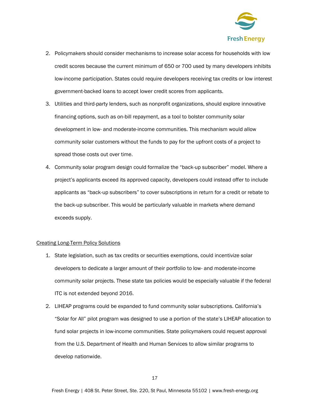

- 2. Policymakers should consider mechanisms to increase solar access for households with low credit scores because the current minimum of 650 or 700 used by many developers inhibits low-income participation. States could require developers receiving tax credits or low interest government-backed loans to accept lower credit scores from applicants.
- 3. Utilities and third-party lenders, such as nonprofit organizations, should explore innovative financing options, such as on-bill repayment, as a tool to bolster community solar development in low- and moderate-income communities. This mechanism would allow community solar customers without the funds to pay for the upfront costs of a project to spread those costs out over time.
- 4. Community solar program design could formalize the "back-up subscriber" model. Where a project's applicants exceed its approved capacity, developers could instead offer to include applicants as "back-up subscribers" to cover subscriptions in return for a credit or rebate to the back-up subscriber. This would be particularly valuable in markets where demand exceeds supply.

#### Creating Long-Term Policy Solutions

- 1. State legislation, such as tax credits or securities exemptions, could incentivize solar developers to dedicate a larger amount of their portfolio to low- and moderate-income community solar projects. These state tax policies would be especially valuable if the federal ITC is not extended beyond 2016.
- 2. LIHEAP programs could be expanded to fund community solar subscriptions. California's "Solar for All" pilot program was designed to use a portion of the state's LIHEAP allocation to fund solar projects in low-income communities. State policymakers could request approval from the U.S. Department of Health and Human Services to allow similar programs to develop nationwide.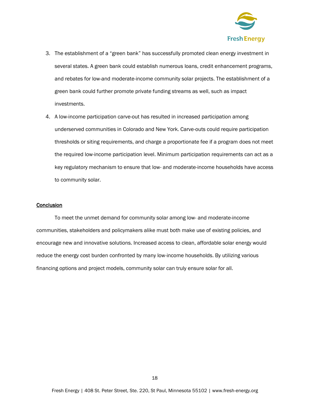

- 3. The establishment of a "green bank" has successfully promoted clean energy investment in several states. A green bank could establish numerous loans, credit enhancement programs, and rebates for low-and moderate-income community solar projects. The establishment of a green bank could further promote private funding streams as well, such as impact investments.
- 4. A low-income participation carve-out has resulted in increased participation among underserved communities in Colorado and New York. Carve-outs could require participation thresholds or siting requirements, and charge a proportionate fee if a program does not meet the required low-income participation level. Minimum participation requirements can act as a key regulatory mechanism to ensure that low- and moderate-income households have access to community solar.

#### **Conclusion**

To meet the unmet demand for community solar among low- and moderate-income communities, stakeholders and policymakers alike must both make use of existing policies, and encourage new and innovative solutions. Increased access to clean, affordable solar energy would reduce the energy cost burden confronted by many low-income households. By utilizing various financing options and project models, community solar can truly ensure solar for all.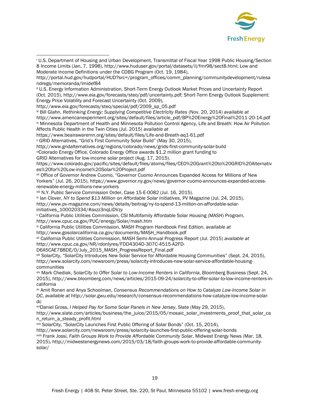

<sup>i</sup> U.S. Department of Housing and Urban Development, Transmittal of Fiscal Year 1998 Public Housing/Section 8 Income Limits (Jan. 7, 1998), http://www.huduser.gov/portal/datasets/il/fmr98/sect8.html; Low and Moderate Income Definitions under the CDBG Program (Oct. 19, 1984),

http://www.eia.gov/forecasts/steo/special/pdf/2009\_sp\_05.pdf

 $\overline{a}$ 

iii Bill Glahn, *Rethinking Energy: Supplying Competitive Electricity Rates* (Nov. 20, 2014) *available at*

http://www.americanexperiment.org/sites/default/files/article\_pdf/BP%20Energy%20Final%2011-20-14.pdf iv Minnesota Department of Health and Minnesota Pollution Control Agency, Life and Breath: How Air Pollution Affects Public Health in the Twin Cities (Jul. 2015) *available at* 

https://www.beairawaremn.org/sites/default/files/Life-and-Breath-aq1-61.pdf

<sup>v</sup> GRID Alternatives, "Grid's First Community Solar Build" (May 30, 2015),

http://www.gridalternatives.org/regions/colorado/news/grids-first-community-solar-build

viColorado Energy Office, Colorado Energy Office awards \$1.2 million grant funding to

GRID Alternatives for low-income solar project (Aug. 17, 2015).

https://www.colorado.gov/pacific/sites/default/files/atoms/files/CEO%20Grant%20to%20GRID%20Alternativ es%20for%20Low-income%20Solar%20Project.pdf

vii Office of Governor Andrew Cuomo, "Governor Cuomo Announces Expanded Access for Millions of New Yorkers" (Jul. 26, 2015), https://www.governor.ny.gov/news/governor-cuomo-announces-expanded-accessrenewable-energy-millions-new-yorkers

viii N.Y. Public Service Commission Order, Case 15-E-0082 (Jul. 16, 2015).

ix Ian Clover, *NY to Spend \$13 Million on Affordable Solar Initiatives*, PV Magazine (Jul. 24, 2015),

http://www.pv-magazine.com/news/details/beitrag/ny-to-spend-13-million-on-affordable-solarinitiatives\_100020334/#axzz3nqLiDVzy

<sup>x</sup> California Public Utilities Commission, CSI Multifamily Affordable Solar Housing (MASH) Program, http://www.cpuc.ca.gov/PUC/energy/Solar/mash.htm

xi California Public Utilities Commission, MASH Program Handbook First Edition, *available at* http://www.gosolarcalifornia.ca.gov/documents/MASH\_Handbook.pdf

xii California Public Utilities Commission, MASH Semi-Annual Progress Report (Jul. 2015) *available at*  http://www.cpuc.ca.gov/NR/rdonlyres/FDD4304D-307C-4515-A2FD-

D6A5CAE7B8DE/0/July\_2015\_MASH\_ProgressReport\_Final.pdf

xiii SolarCity, "SolarCity Introduces New Solar Service for Affordable Housing Communities" (Sept. 24, 2015), http://www.solarcity.com/newsroom/press/solarcity-introduces-new-solar-service-affordable-housingcommunities

xiv Mark Chediak, *SolarCity to Offer Solar to Low-Income Renters in California*, Bloomberg Business (Sept. 24, 2015), http://www.bloomberg.com/news/articles/2015-09-24/solarcity-to-offer-solar-to-low-income-renters-incalifornia

xv Amit Ronen and Anya Schoolman, *Consensus Recommendations on How to Catalyze Low-Income Solar in DC*, *available at* http://solar.gwu.edu/research/consensus-recommendations-how-catalyze-low-income-solardc

xviDaniel Gross, *I Helped Pay for Some Solar Panels in New Jersey*, Slate (May 29, 2015),

http://www.slate.com/articles/business/the\_juice/2015/05/mosaic\_solar\_investments\_proof\_that\_solar\_ca n\_return\_a\_steady\_profit.html

xvii SolarCity, "SolarCity Launches First Public Offering of Solar Bonds" (Oct. 15, 2014),

http://www.solarcity.com/newsroom/press/solarcity-launches-first-public-offering-solar-bonds xviii Frank Jossi, *Faith Groups Work to Provide Affordable Community Solar*, Midwest Energy News (Mar. 18, 2015), http://midwestenergynews.com/2015/03/18/faith-groups-work-to-provide-affordable-communitysolar/

http://portal.hud.gov/hudportal/HUD?src=/program\_offices/comm\_planning/communitydevelopment/rulesa ndregs/memoranda/lmidef84

ii U.S. Energy Information Administration, Short-Term Energy Outlook Market Prices and Uncertainty Report (Oct. 2015), http://www.eia.gov/forecasts/steo/pdf/uncertainty.pdf; Short-Term Energy Outlook Supplement: Energy Price Volatility and Forecast Uncertainty (Oct. 2009),